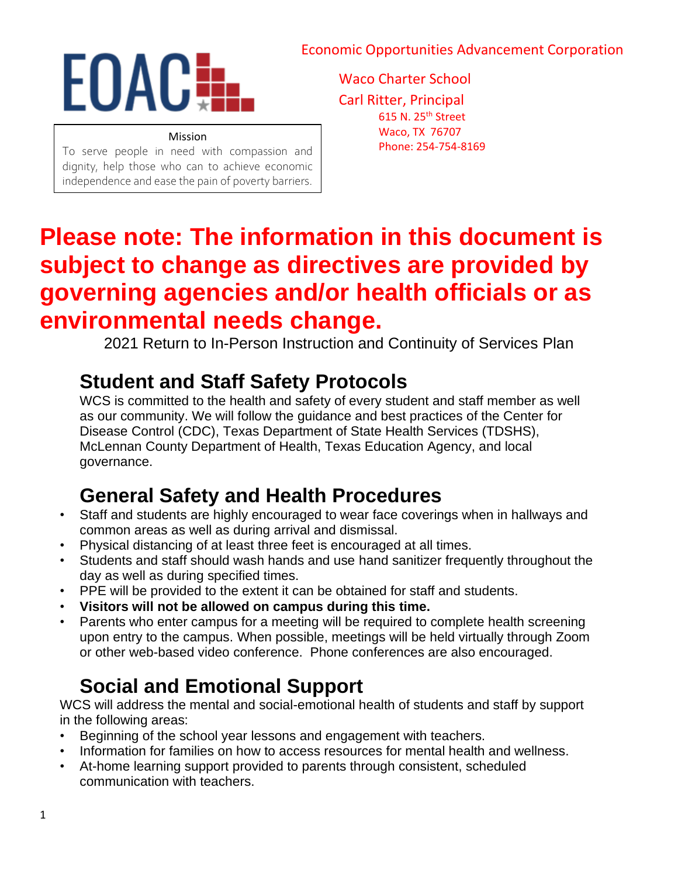#### Economic Opportunities Advancement Corporation



#### Mission

To serve people in need with compassion and dignity, help those who can to achieve economic independence and ease the pain of poverty barriers. Waco Charter School Carl Ritter, Principal 615 N. 25<sup>th</sup> Street Waco, TX 76707 Phone: 254-754-8169

# **Please note: The information in this document is subject to change as directives are provided by governing agencies and/or health officials or as environmental needs change.**

2021 Return to In-Person Instruction and Continuity of Services Plan

### **Student and Staff Safety Protocols**

WCS is committed to the health and safety of every student and staff member as well as our community. We will follow the guidance and best practices of the Center for Disease Control (CDC), Texas Department of State Health Services (TDSHS), McLennan County Department of Health, Texas Education Agency, and local governance.

### **General Safety and Health Procedures**

- Staff and students are highly encouraged to wear face coverings when in hallways and common areas as well as during arrival and dismissal.
- Physical distancing of at least three feet is encouraged at all times.
- Students and staff should wash hands and use hand sanitizer frequently throughout the day as well as during specified times.
- PPE will be provided to the extent it can be obtained for staff and students.
- **Visitors will not be allowed on campus during this time.**
- Parents who enter campus for a meeting will be required to complete health screening upon entry to the campus. When possible, meetings will be held virtually through Zoom or other web-based video conference. Phone conferences are also encouraged.

### **Social and Emotional Support**

WCS will address the mental and social-emotional health of students and staff by support in the following areas:

- Beginning of the school year lessons and engagement with teachers.
- Information for families on how to access resources for mental health and wellness.
- At-home learning support provided to parents through consistent, scheduled communication with teachers.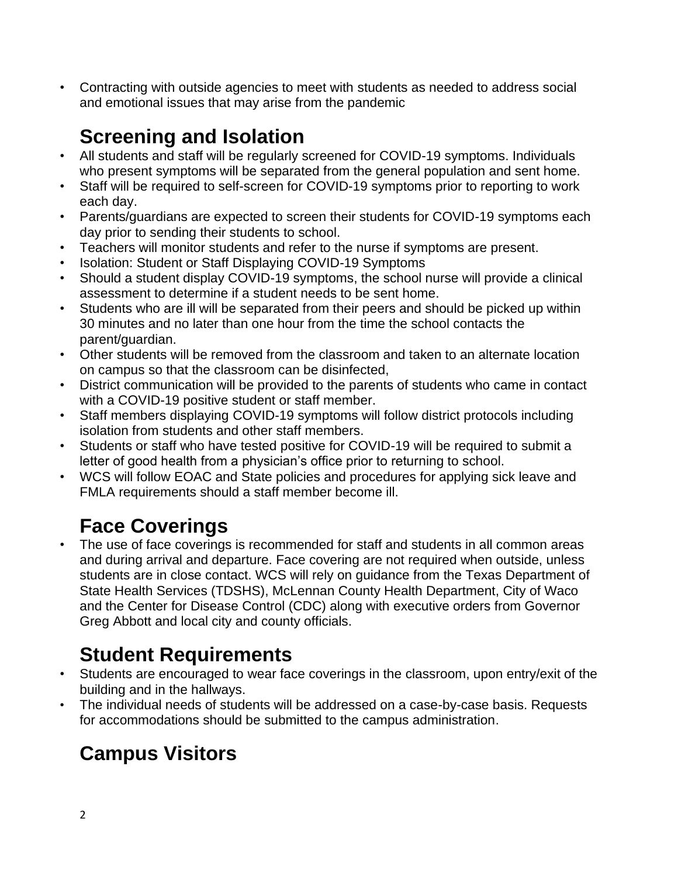• Contracting with outside agencies to meet with students as needed to address social and emotional issues that may arise from the pandemic

## **Screening and Isolation**

- All students and staff will be regularly screened for COVID-19 symptoms. Individuals who present symptoms will be separated from the general population and sent home.
- Staff will be required to self-screen for COVID-19 symptoms prior to reporting to work each day.
- Parents/guardians are expected to screen their students for COVID-19 symptoms each day prior to sending their students to school.
- Teachers will monitor students and refer to the nurse if symptoms are present.
- Isolation: Student or Staff Displaying COVID-19 Symptoms
- Should a student display COVID-19 symptoms, the school nurse will provide a clinical assessment to determine if a student needs to be sent home.
- Students who are ill will be separated from their peers and should be picked up within 30 minutes and no later than one hour from the time the school contacts the parent/guardian.
- Other students will be removed from the classroom and taken to an alternate location on campus so that the classroom can be disinfected,
- District communication will be provided to the parents of students who came in contact with a COVID-19 positive student or staff member.
- Staff members displaying COVID-19 symptoms will follow district protocols including isolation from students and other staff members.
- Students or staff who have tested positive for COVID-19 will be required to submit a letter of good health from a physician's office prior to returning to school.
- WCS will follow EOAC and State policies and procedures for applying sick leave and FMLA requirements should a staff member become ill.

## **Face Coverings**

• The use of face coverings is recommended for staff and students in all common areas and during arrival and departure. Face covering are not required when outside, unless students are in close contact. WCS will rely on guidance from the Texas Department of State Health Services (TDSHS), McLennan County Health Department, City of Waco and the Center for Disease Control (CDC) along with executive orders from Governor Greg Abbott and local city and county officials.

## **Student Requirements**

- Students are encouraged to wear face coverings in the classroom, upon entry/exit of the building and in the hallways.
- The individual needs of students will be addressed on a case-by-case basis. Requests for accommodations should be submitted to the campus administration.

## **Campus Visitors**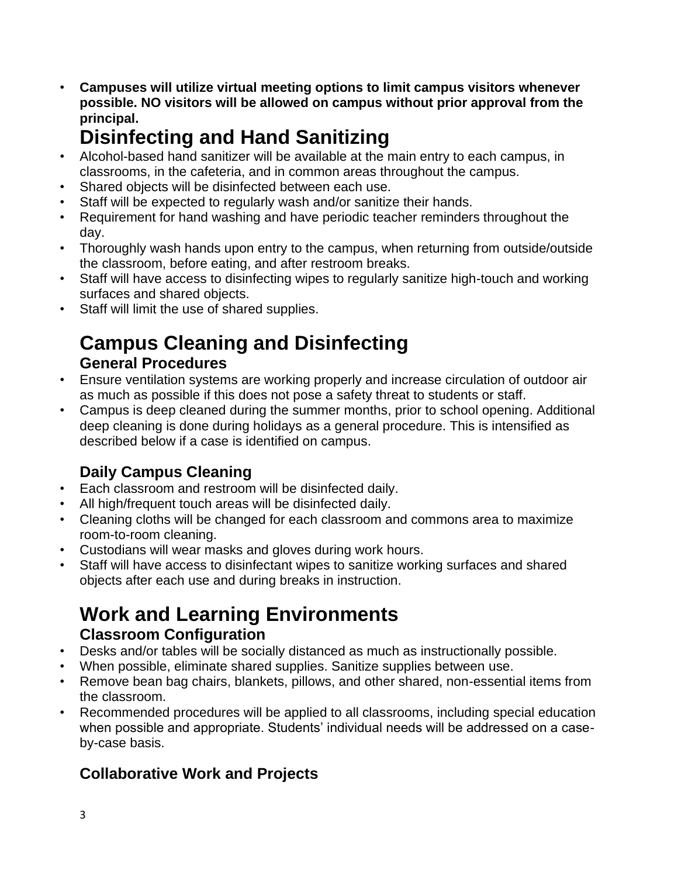• **Campuses will utilize virtual meeting options to limit campus visitors whenever possible. NO visitors will be allowed on campus without prior approval from the principal.**

### **Disinfecting and Hand Sanitizing**

- Alcohol-based hand sanitizer will be available at the main entry to each campus, in classrooms, in the cafeteria, and in common areas throughout the campus.
- Shared objects will be disinfected between each use.
- Staff will be expected to regularly wash and/or sanitize their hands.
- Requirement for hand washing and have periodic teacher reminders throughout the day.
- Thoroughly wash hands upon entry to the campus, when returning from outside/outside the classroom, before eating, and after restroom breaks.
- Staff will have access to disinfecting wipes to regularly sanitize high-touch and working surfaces and shared objects.
- Staff will limit the use of shared supplies.

### **Campus Cleaning and Disinfecting General Procedures**

- Ensure ventilation systems are working properly and increase circulation of outdoor air as much as possible if this does not pose a safety threat to students or staff.
- Campus is deep cleaned during the summer months, prior to school opening. Additional deep cleaning is done during holidays as a general procedure. This is intensified as described below if a case is identified on campus.

### **Daily Campus Cleaning**

- Each classroom and restroom will be disinfected daily.
- All high/frequent touch areas will be disinfected daily.
- Cleaning cloths will be changed for each classroom and commons area to maximize room-to-room cleaning.
- Custodians will wear masks and gloves during work hours.
- Staff will have access to disinfectant wipes to sanitize working surfaces and shared objects after each use and during breaks in instruction.

### **Work and Learning Environments Classroom Configuration**

- Desks and/or tables will be socially distanced as much as instructionally possible.
- When possible, eliminate shared supplies. Sanitize supplies between use.
- Remove bean bag chairs, blankets, pillows, and other shared, non-essential items from the classroom.
- Recommended procedures will be applied to all classrooms, including special education when possible and appropriate. Students' individual needs will be addressed on a caseby-case basis.

#### **Collaborative Work and Projects**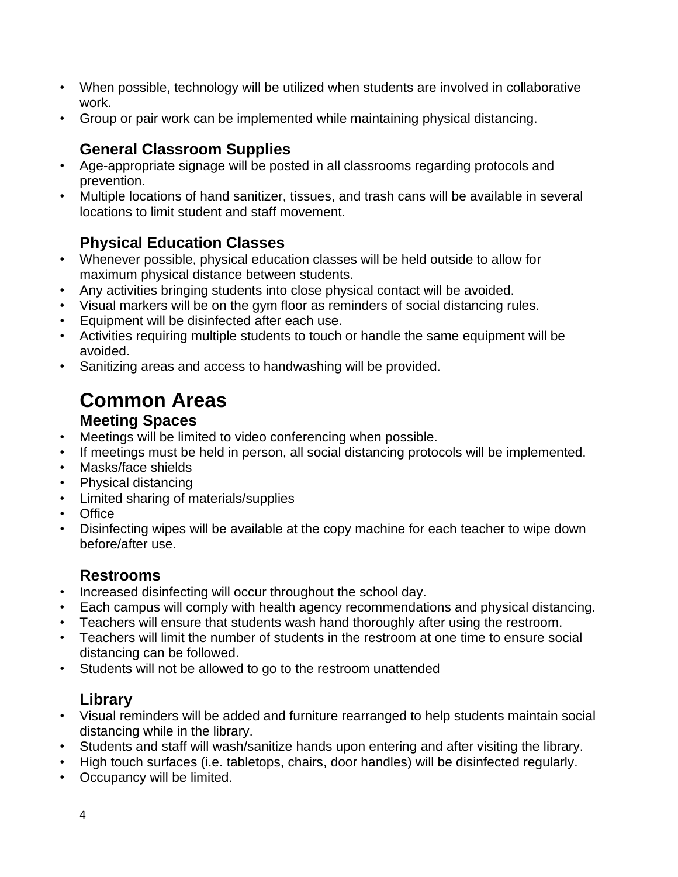- When possible, technology will be utilized when students are involved in collaborative work.
- Group or pair work can be implemented while maintaining physical distancing.

#### **General Classroom Supplies**

- Age-appropriate signage will be posted in all classrooms regarding protocols and prevention.
- Multiple locations of hand sanitizer, tissues, and trash cans will be available in several locations to limit student and staff movement.

#### **Physical Education Classes**

- Whenever possible, physical education classes will be held outside to allow for maximum physical distance between students.
- Any activities bringing students into close physical contact will be avoided.
- Visual markers will be on the gym floor as reminders of social distancing rules.
- Equipment will be disinfected after each use.
- Activities requiring multiple students to touch or handle the same equipment will be avoided.
- Sanitizing areas and access to handwashing will be provided.

### **Common Areas**

#### **Meeting Spaces**

- Meetings will be limited to video conferencing when possible.
- If meetings must be held in person, all social distancing protocols will be implemented.
- Masks/face shields
- Physical distancing
- Limited sharing of materials/supplies
- Office
- Disinfecting wipes will be available at the copy machine for each teacher to wipe down before/after use.

#### **Restrooms**

- Increased disinfecting will occur throughout the school day.
- Each campus will comply with health agency recommendations and physical distancing.
- Teachers will ensure that students wash hand thoroughly after using the restroom.
- Teachers will limit the number of students in the restroom at one time to ensure social distancing can be followed.
- Students will not be allowed to go to the restroom unattended

#### **Library**

- Visual reminders will be added and furniture rearranged to help students maintain social distancing while in the library.
- Students and staff will wash/sanitize hands upon entering and after visiting the library.
- High touch surfaces (i.e. tabletops, chairs, door handles) will be disinfected regularly.
- Occupancy will be limited.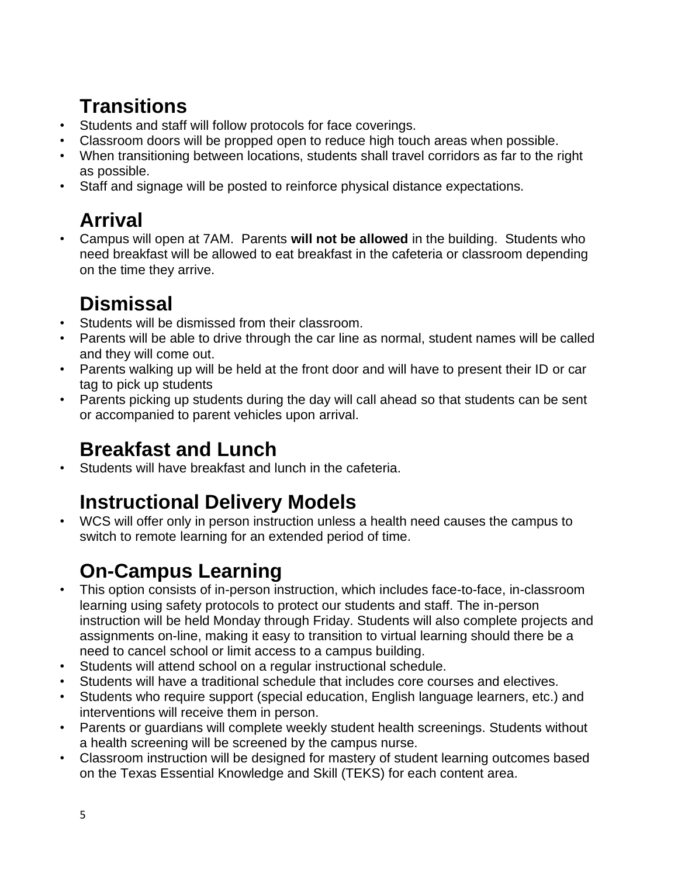### **Transitions**

- Students and staff will follow protocols for face coverings.
- Classroom doors will be propped open to reduce high touch areas when possible.
- When transitioning between locations, students shall travel corridors as far to the right as possible.
- Staff and signage will be posted to reinforce physical distance expectations.

### **Arrival**

• Campus will open at 7AM. Parents **will not be allowed** in the building. Students who need breakfast will be allowed to eat breakfast in the cafeteria or classroom depending on the time they arrive.

### **Dismissal**

- Students will be dismissed from their classroom.
- Parents will be able to drive through the car line as normal, student names will be called and they will come out.
- Parents walking up will be held at the front door and will have to present their ID or car tag to pick up students
- Parents picking up students during the day will call ahead so that students can be sent or accompanied to parent vehicles upon arrival.

### **Breakfast and Lunch**

• Students will have breakfast and lunch in the cafeteria.

### **Instructional Delivery Models**

• WCS will offer only in person instruction unless a health need causes the campus to switch to remote learning for an extended period of time.

### **On-Campus Learning**

- This option consists of in-person instruction, which includes face-to-face, in-classroom learning using safety protocols to protect our students and staff. The in-person instruction will be held Monday through Friday. Students will also complete projects and assignments on-line, making it easy to transition to virtual learning should there be a need to cancel school or limit access to a campus building.
- Students will attend school on a regular instructional schedule.
- Students will have a traditional schedule that includes core courses and electives.
- Students who require support (special education, English language learners, etc.) and interventions will receive them in person.
- Parents or guardians will complete weekly student health screenings. Students without a health screening will be screened by the campus nurse.
- Classroom instruction will be designed for mastery of student learning outcomes based on the Texas Essential Knowledge and Skill (TEKS) for each content area.